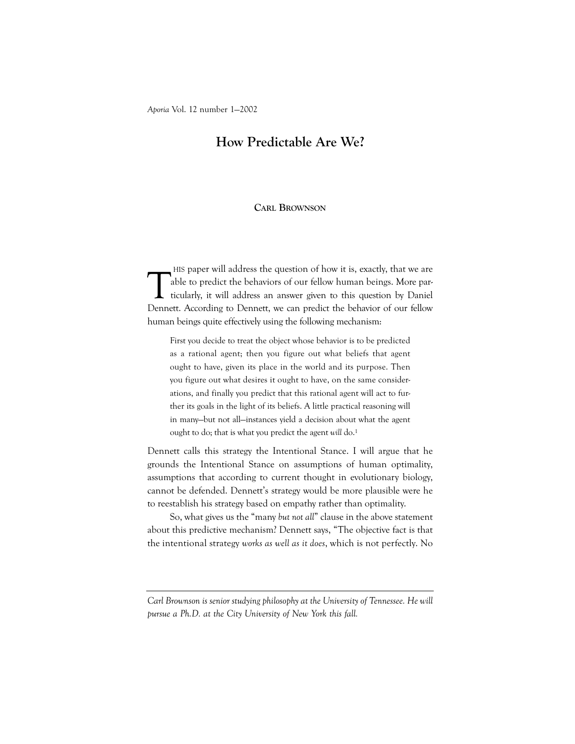# How Predictable Are We?

#### CARL BROWNSON

HIS paper will address the question of how it is, exactly, that we are able to predict the behaviors of our fellow human beings. More particularly, it will address an answer given to this question by Daniel able to predict the behaviors of our fellow human beings. More particularly, it will address an answer given to this question by Daniel Dennett. According to Dennett, we can predict the behavior of our fellow human beings quite effectively using the following mechanism:

First you decide to treat the object whose behavior is to be predicted as a rational agent; then you figure out what beliefs that agent ought to have, given its place in the world and its purpose. Then you figure out what desires it ought to have, on the same considerations, and finally you predict that this rational agent will act to further its goals in the light of its beliefs. A little practical reasoning will in many—but not all—instances yield a decision about what the agent ought to do; that is what you predict the agent will do.<sup>1</sup>

Dennett calls this strategy the Intentional Stance. I will argue that he grounds the Intentional Stance on assumptions of human optimality, assumptions that according to current thought in evolutionary biology, cannot be defended. Dennett's strategy would be more plausible were he to reestablish his strategy based on empathy rather than optimality.

So, what gives us the "many but not all" clause in the above statement about this predictive mechanism? Dennett says, "The objective fact is that the intentional strategy works as well as it does, which is not perfectly. No

Carl Brownson is senior studying philosophy at the University of Tennessee. He will pursue a Ph.D. at the City University of New York this fall.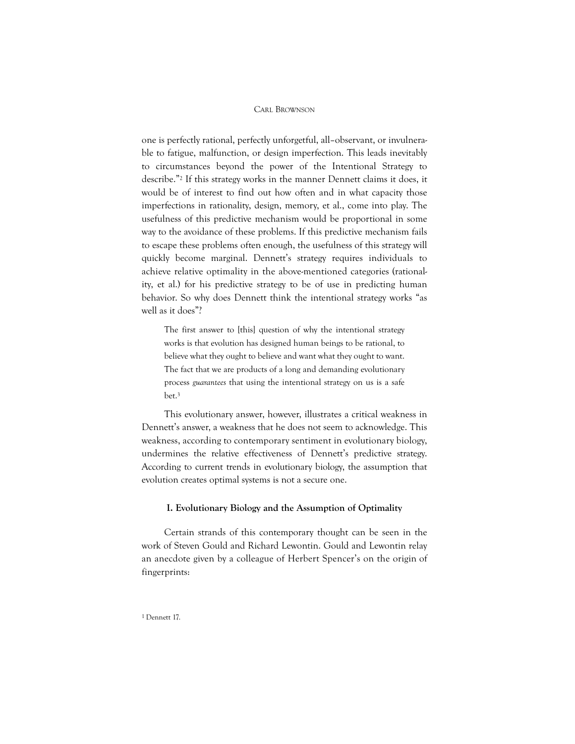one is perfectly rational, perfectly unforgetful, all–observant, or invulnerable to fatigue, malfunction, or design imperfection. This leads inevitably to circumstances beyond the power of the Intentional Strategy to describe."<sup>2</sup> If this strategy works in the manner Dennett claims it does, it would be of interest to find out how often and in what capacity those imperfections in rationality, design, memory, et al., come into play. The usefulness of this predictive mechanism would be proportional in some way to the avoidance of these problems. If this predictive mechanism fails to escape these problems often enough, the usefulness of this strategy will quickly become marginal. Dennett's strategy requires individuals to achieve relative optimality in the above-mentioned categories (rationality, et al.) for his predictive strategy to be of use in predicting human behavior. So why does Dennett think the intentional strategy works "as well as it does"?

The first answer to [this] question of why the intentional strategy works is that evolution has designed human beings to be rational, to believe what they ought to believe and want what they ought to want. The fact that we are products of a long and demanding evolutionary process guarantees that using the intentional strategy on us is a safe bet.<sup>3</sup>

This evolutionary answer, however, illustrates a critical weakness in Dennett's answer, a weakness that he does not seem to acknowledge. This weakness, according to contemporary sentiment in evolutionary biology, undermines the relative effectiveness of Dennett's predictive strategy. According to current trends in evolutionary biology, the assumption that evolution creates optimal systems is not a secure one.

#### I. Evolutionary Biology and the Assumption of Optimality

Certain strands of this contemporary thought can be seen in the work of Steven Gould and Richard Lewontin. Gould and Lewontin relay an anecdote given by a colleague of Herbert Spencer's on the origin of fingerprints:

1 Dennett 17.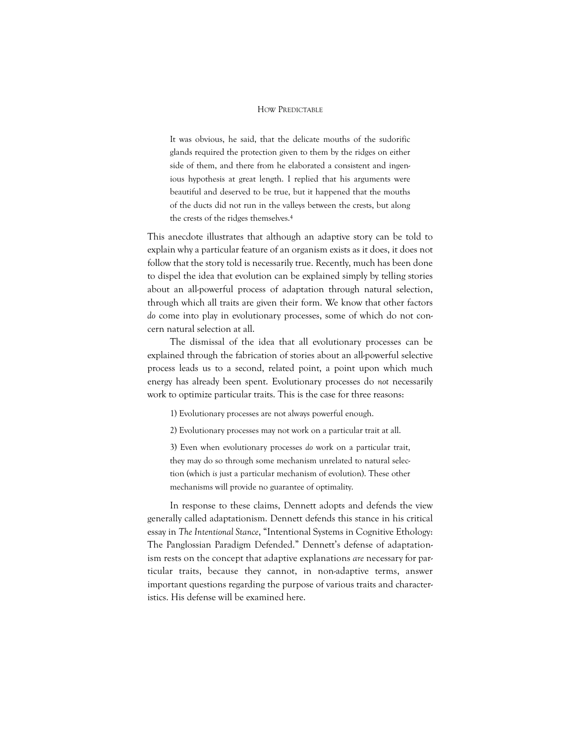It was obvious, he said, that the delicate mouths of the sudorific glands required the protection given to them by the ridges on either side of them, and there from he elaborated a consistent and ingenious hypothesis at great length. I replied that his arguments were beautiful and deserved to be true, but it happened that the mouths of the ducts did not run in the valleys between the crests, but along the crests of the ridges themselves.<sup>4</sup>

This anecdote illustrates that although an adaptive story can be told to explain why a particular feature of an organism exists as it does, it does not follow that the story told is necessarily true. Recently, much has been done to dispel the idea that evolution can be explained simply by telling stories about an all-powerful process of adaptation through natural selection, through which all traits are given their form. We know that other factors do come into play in evolutionary processes, some of which do not concern natural selection at all.

The dismissal of the idea that all evolutionary processes can be explained through the fabrication of stories about an all-powerful selective process leads us to a second, related point, a point upon which much energy has already been spent. Evolutionary processes do not necessarily work to optimize particular traits. This is the case for three reasons:

1) Evolutionary processes are not always powerful enough.

2) Evolutionary processes may not work on a particular trait at all.

3) Even when evolutionary processes do work on a particular trait, they may do so through some mechanism unrelated to natural selection (which is just a particular mechanism of evolution). These other mechanisms will provide no guarantee of optimality.

In response to these claims, Dennett adopts and defends the view generally called adaptationism. Dennett defends this stance in his critical essay in The Intentional Stance, "Intentional Systems in Cognitive Ethology: The Panglossian Paradigm Defended." Dennett's defense of adaptationism rests on the concept that adaptive explanations are necessary for particular traits, because they cannot, in non-adaptive terms, answer important questions regarding the purpose of various traits and characteristics. His defense will be examined here.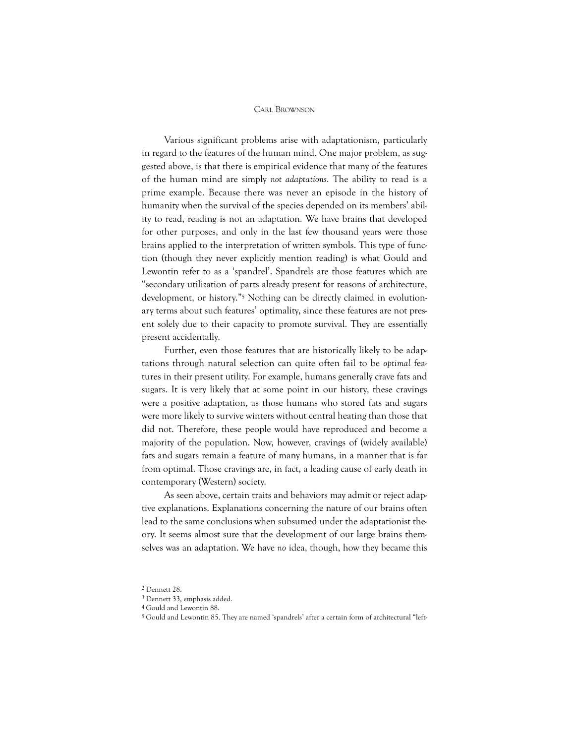Various significant problems arise with adaptationism, particularly in regard to the features of the human mind. One major problem, as suggested above, is that there is empirical evidence that many of the features of the human mind are simply not adaptations. The ability to read is a prime example. Because there was never an episode in the history of humanity when the survival of the species depended on its members' ability to read, reading is not an adaptation. We have brains that developed for other purposes, and only in the last few thousand years were those brains applied to the interpretation of written symbols. This type of function (though they never explicitly mention reading) is what Gould and Lewontin refer to as a 'spandrel'. Spandrels are those features which are "secondary utilization of parts already present for reasons of architecture, development, or history."<sup>5</sup> Nothing can be directly claimed in evolutionary terms about such features' optimality, since these features are not present solely due to their capacity to promote survival. They are essentially present accidentally.

Further, even those features that are historically likely to be adaptations through natural selection can quite often fail to be optimal features in their present utility. For example, humans generally crave fats and sugars. It is very likely that at some point in our history, these cravings were a positive adaptation, as those humans who stored fats and sugars were more likely to survive winters without central heating than those that did not. Therefore, these people would have reproduced and become a majority of the population. Now, however, cravings of (widely available) fats and sugars remain a feature of many humans, in a manner that is far from optimal. Those cravings are, in fact, a leading cause of early death in contemporary (Western) society.

As seen above, certain traits and behaviors may admit or reject adaptive explanations. Explanations concerning the nature of our brains often lead to the same conclusions when subsumed under the adaptationist theory. It seems almost sure that the development of our large brains themselves was an adaptation. We have no idea, though, how they became this

<sup>2</sup> Dennett 28.

<sup>3</sup> Dennett 33, emphasis added.

<sup>4</sup> Gould and Lewontin 88.

<sup>5</sup> Gould and Lewontin 85. They are named 'spandrels' after a certain form of architectural "left-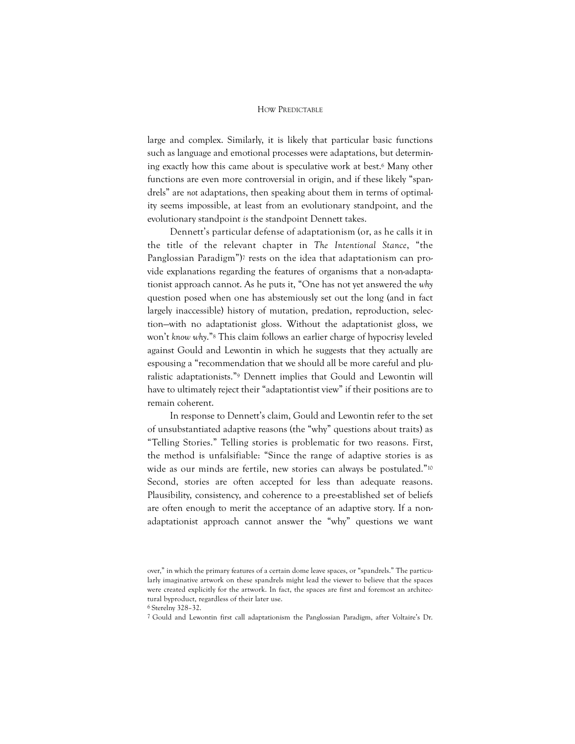large and complex. Similarly, it is likely that particular basic functions such as language and emotional processes were adaptations, but determining exactly how this came about is speculative work at best.<sup>6</sup> Many other functions are even more controversial in origin, and if these likely "spandrels" are not adaptations, then speaking about them in terms of optimality seems impossible, at least from an evolutionary standpoint, and the evolutionary standpoint is the standpoint Dennett takes.

Dennett's particular defense of adaptationism (or, as he calls it in the title of the relevant chapter in The Intentional Stance, "the Panglossian Paradigm")<sup>7</sup> rests on the idea that adaptationism can provide explanations regarding the features of organisms that a non-adaptationist approach cannot. As he puts it, "One has not yet answered the why question posed when one has abstemiously set out the long (and in fact largely inaccessible) history of mutation, predation, reproduction, selection—with no adaptationist gloss. Without the adaptationist gloss, we won't know why."<sup>8</sup> This claim follows an earlier charge of hypocrisy leveled against Gould and Lewontin in which he suggests that they actually are espousing a "recommendation that we should all be more careful and pluralistic adaptationists."<sup>9</sup> Dennett implies that Gould and Lewontin will have to ultimately reject their "adaptationtist view" if their positions are to remain coherent.

In response to Dennett's claim, Gould and Lewontin refer to the set of unsubstantiated adaptive reasons (the "why" questions about traits) as "Telling Stories." Telling stories is problematic for two reasons. First, the method is unfalsifiable: "Since the range of adaptive stories is as wide as our minds are fertile, new stories can always be postulated."<sup>10</sup> Second, stories are often accepted for less than adequate reasons. Plausibility, consistency, and coherence to a pre-established set of beliefs are often enough to merit the acceptance of an adaptive story. If a nonadaptationist approach cannot answer the "why" questions we want

over," in which the primary features of a certain dome leave spaces, or "spandrels." The particularly imaginative artwork on these spandrels might lead the viewer to believe that the spaces were created explicitly for the artwork. In fact, the spaces are first and foremost an architectural byproduct, regardless of their later use.

<sup>6</sup> Sterelny 328–32.

<sup>7</sup> Gould and Lewontin first call adaptationism the Panglossian Paradigm, after Voltaire's Dr.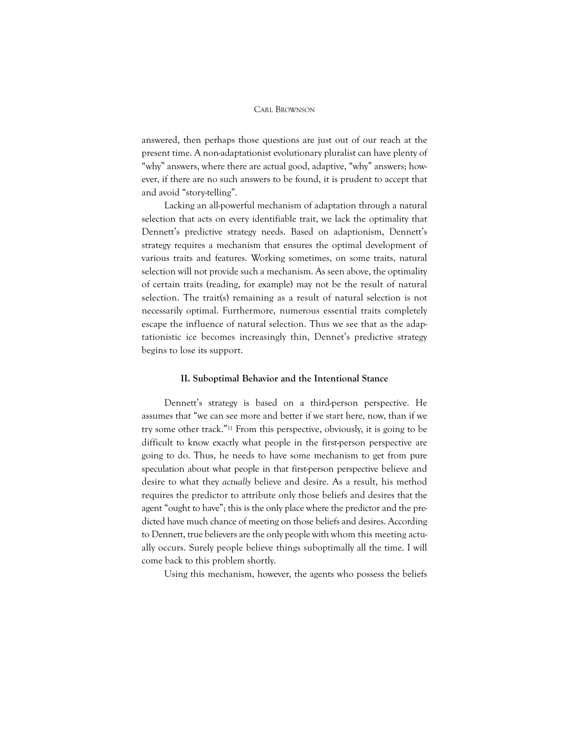answered, then perhaps those questions are just out of our reach at the present time. A non-adaptationist evolutionary pluralist can have plenty of "why" answers, where there are actual good, adaptive, "why" answers; however, if there are no such answers to be found, it is prudent to accept that and avoid "story-telling".

Lacking an all-powerful mechanism of adaptation through a natural selection that acts on every identifiable trait, we lack the optimality that Dennett's predictive strategy needs. Based on adaptionism, Dennett's strategy requires a mechanism that ensures the optimal development of various traits and features. Working sometimes, on some traits, natural selection will not provide such a mechanism. As seen above, the optimality of certain traits (reading, for example) may not be the result of natural selection. The trait(s) remaining as a result of natural selection is not necessarily optimal. Furthermore, numerous essential traits completely escape the influence of natural selection. Thus we see that as the adaptationistic ice becomes increasingly thin, Dennet's predictive strategy begins to lose its support.

#### II. Suboptimal Behavior and the Intentional Stance

Dennett's strategy is based on a third-person perspective. He assumes that "we can see more and better if we start here, now, than if we try some other track."<sup>11</sup> From this perspective, obviously, it is going to be difficult to know exactly what people in the first-person perspective are going to do. Thus, he needs to have some mechanism to get from pure speculation about what people in that first-person perspective believe and desire to what they actually believe and desire. As a result, his method requires the predictor to attribute only those beliefs and desires that the agent "ought to have"; this is the only place where the predictor and the predicted have much chance of meeting on those beliefs and desires. According to Dennett, true believers are the only people with whom this meeting actually occurs. Surely people believe things suboptimally all the time. I will come back to this problem shortly.

Using this mechanism, however, the agents who possess the beliefs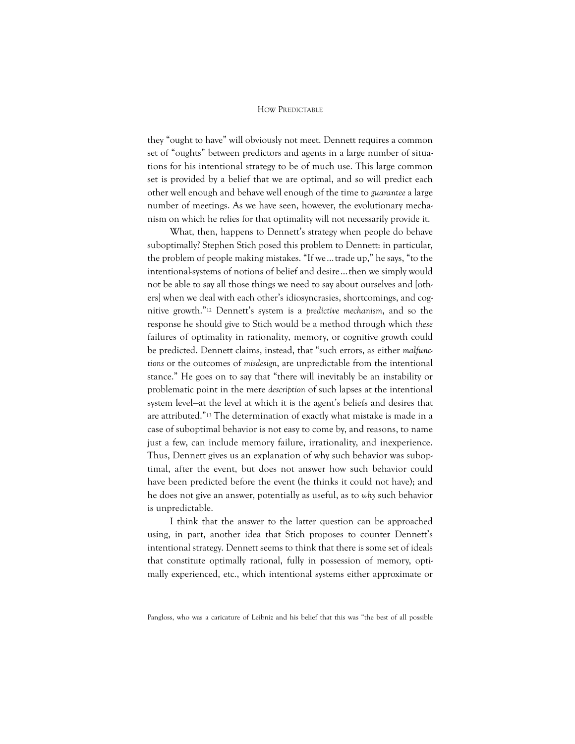they "ought to have" will obviously not meet. Dennett requires a common set of "oughts" between predictors and agents in a large number of situations for his intentional strategy to be of much use. This large common set is provided by a belief that we are optimal, and so will predict each other well enough and behave well enough of the time to guarantee a large number of meetings. As we have seen, however, the evolutionary mechanism on which he relies for that optimality will not necessarily provide it.

What, then, happens to Dennett's strategy when people do behave suboptimally? Stephen Stich posed this problem to Dennett: in particular, the problem of people making mistakes. "If we…trade up," he says, "to the intentional-systems of notions of belief and desire…then we simply would not be able to say all those things we need to say about ourselves and [others] when we deal with each other's idiosyncrasies, shortcomings, and cognitive growth."<sup>12</sup> Dennett's system is a predictive mechanism, and so the response he should give to Stich would be a method through which these failures of optimality in rationality, memory, or cognitive growth could be predicted. Dennett claims, instead, that "such errors, as either malfunctions or the outcomes of misdesign, are unpredictable from the intentional stance." He goes on to say that "there will inevitably be an instability or problematic point in the mere description of such lapses at the intentional system level—at the level at which it is the agent's beliefs and desires that are attributed."<sup>13</sup> The determination of exactly what mistake is made in a case of suboptimal behavior is not easy to come by, and reasons, to name just a few, can include memory failure, irrationality, and inexperience. Thus, Dennett gives us an explanation of why such behavior was suboptimal, after the event, but does not answer how such behavior could have been predicted before the event (he thinks it could not have); and he does not give an answer, potentially as useful, as to why such behavior is unpredictable.

I think that the answer to the latter question can be approached using, in part, another idea that Stich proposes to counter Dennett's intentional strategy. Dennett seems to think that there is some set of ideals that constitute optimally rational, fully in possession of memory, optimally experienced, etc., which intentional systems either approximate or

Pangloss, who was a caricature of Leibniz and his belief that this was "the best of all possible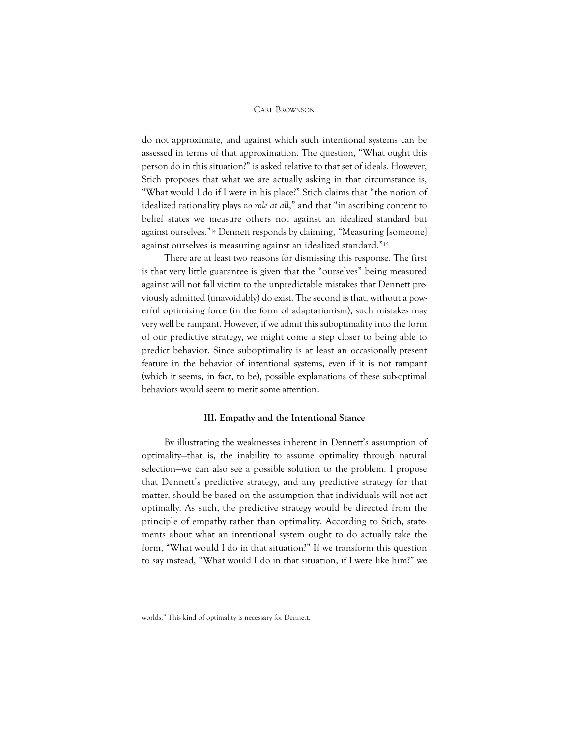do not approximate, and against which such intentional systems can be assessed in terms of that approximation. The question, "What ought this person do in this situation?" is asked relative to that set of ideals. However, Stich proposes that what we are actually asking in that circumstance is, "What would I do if I were in his place?" Stich claims that "the notion of idealized rationality plays no role at all," and that "in ascribing content to belief states we measure others not against an idealized standard but against ourselves."<sup>14</sup> Dennett responds by claiming, "Measuring [someone] against ourselves is measuring against an idealized standard."<sup>15</sup>

There are at least two reasons for dismissing this response. The first is that very little guarantee is given that the "ourselves" being measured against will not fall victim to the unpredictable mistakes that Dennett previously admitted (unavoidably) do exist. The second is that, without a powerful optimizing force (in the form of adaptationism), such mistakes may very well be rampant. However, if we admit this suboptimality into the form of our predictive strategy, we might come a step closer to being able to predict behavior. Since suboptimality is at least an occasionally present feature in the behavior of intentional systems, even if it is not rampant (which it seems, in fact, to be), possible explanations of these sub-optimal behaviors would seem to merit some attention.

#### III. Empathy and the Intentional Stance

By illustrating the weaknesses inherent in Dennett's assumption of optimality—that is, the inability to assume optimality through natural selection—we can also see a possible solution to the problem. I propose that Dennett's predictive strategy, and any predictive strategy for that matter, should be based on the assumption that individuals will not act optimally. As such, the predictive strategy would be directed from the principle of empathy rather than optimality. According to Stich, statements about what an intentional system ought to do actually take the form, "What would I do in that situation?" If we transform this question to say instead, "What would I do in that situation, if I were like him?" we

worlds." This kind of optimality is necessary for Dennett.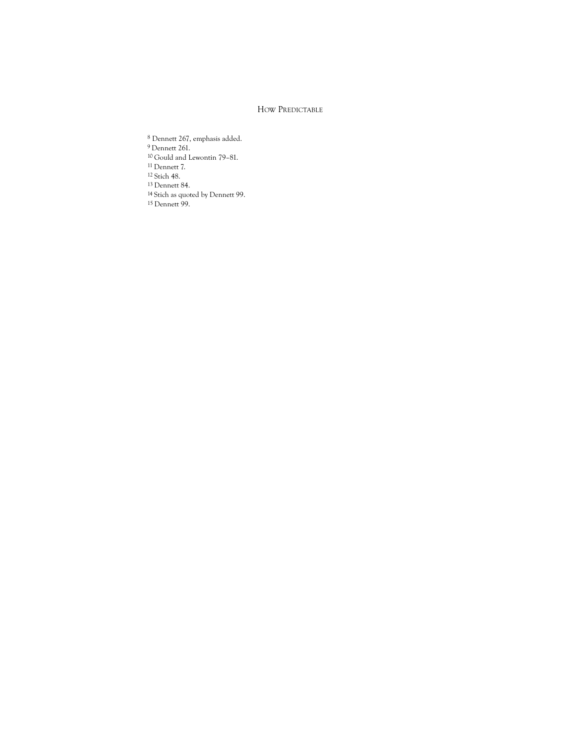- Dennett 267, emphasis added. Dennett 261. Gould and Lewontin 79–81.
- Dennett 7.
- Stich 48.
- Dennett 84.
- Stich as quoted by Dennett 99.
- Dennett 99.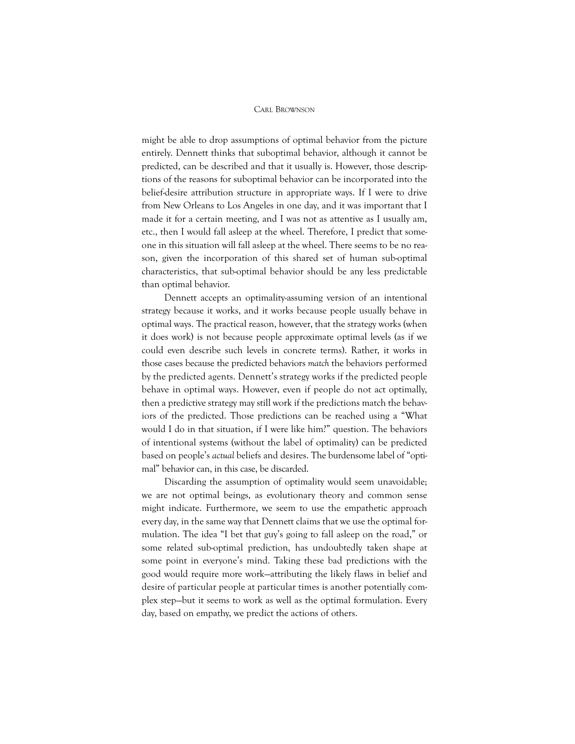might be able to drop assumptions of optimal behavior from the picture entirely. Dennett thinks that suboptimal behavior, although it cannot be predicted, can be described and that it usually is. However, those descriptions of the reasons for suboptimal behavior can be incorporated into the belief-desire attribution structure in appropriate ways. If I were to drive from New Orleans to Los Angeles in one day, and it was important that I made it for a certain meeting, and I was not as attentive as I usually am, etc., then I would fall asleep at the wheel. Therefore, I predict that someone in this situation will fall asleep at the wheel. There seems to be no reason, given the incorporation of this shared set of human sub-optimal characteristics, that sub-optimal behavior should be any less predictable than optimal behavior.

Dennett accepts an optimality-assuming version of an intentional strategy because it works, and it works because people usually behave in optimal ways. The practical reason, however, that the strategy works (when it does work) is not because people approximate optimal levels (as if we could even describe such levels in concrete terms). Rather, it works in those cases because the predicted behaviors match the behaviors performed by the predicted agents. Dennett's strategy works if the predicted people behave in optimal ways. However, even if people do not act optimally, then a predictive strategy may still work if the predictions match the behaviors of the predicted. Those predictions can be reached using a "What would I do in that situation, if I were like him?" question. The behaviors of intentional systems (without the label of optimality) can be predicted based on people's actual beliefs and desires. The burdensome label of "optimal" behavior can, in this case, be discarded.

Discarding the assumption of optimality would seem unavoidable; we are not optimal beings, as evolutionary theory and common sense might indicate. Furthermore, we seem to use the empathetic approach every day, in the same way that Dennett claims that we use the optimal formulation. The idea "I bet that guy's going to fall asleep on the road," or some related sub-optimal prediction, has undoubtedly taken shape at some point in everyone's mind. Taking these bad predictions with the good would require more work—attributing the likely flaws in belief and desire of particular people at particular times is another potentially complex step—but it seems to work as well as the optimal formulation. Every day, based on empathy, we predict the actions of others.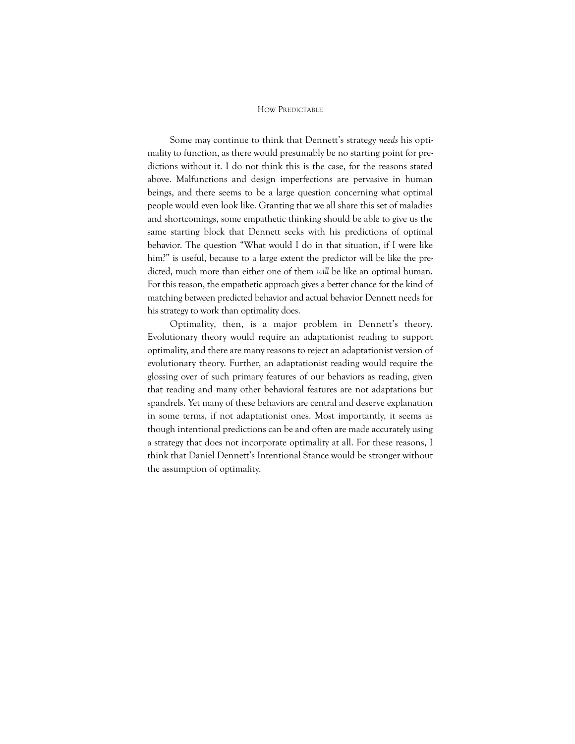Some may continue to think that Dennett's strategy needs his optimality to function, as there would presumably be no starting point for predictions without it. I do not think this is the case, for the reasons stated above. Malfunctions and design imperfections are pervasive in human beings, and there seems to be a large question concerning what optimal people would even look like. Granting that we all share this set of maladies and shortcomings, some empathetic thinking should be able to give us the same starting block that Dennett seeks with his predictions of optimal behavior. The question "What would I do in that situation, if I were like him?" is useful, because to a large extent the predictor will be like the predicted, much more than either one of them will be like an optimal human. For this reason, the empathetic approach gives a better chance for the kind of matching between predicted behavior and actual behavior Dennett needs for his strategy to work than optimality does.

Optimality, then, is a major problem in Dennett's theory. Evolutionary theory would require an adaptationist reading to support optimality, and there are many reasons to reject an adaptationist version of evolutionary theory. Further, an adaptationist reading would require the glossing over of such primary features of our behaviors as reading, given that reading and many other behavioral features are not adaptations but spandrels. Yet many of these behaviors are central and deserve explanation in some terms, if not adaptationist ones. Most importantly, it seems as though intentional predictions can be and often are made accurately using a strategy that does not incorporate optimality at all. For these reasons, I think that Daniel Dennett's Intentional Stance would be stronger without the assumption of optimality.